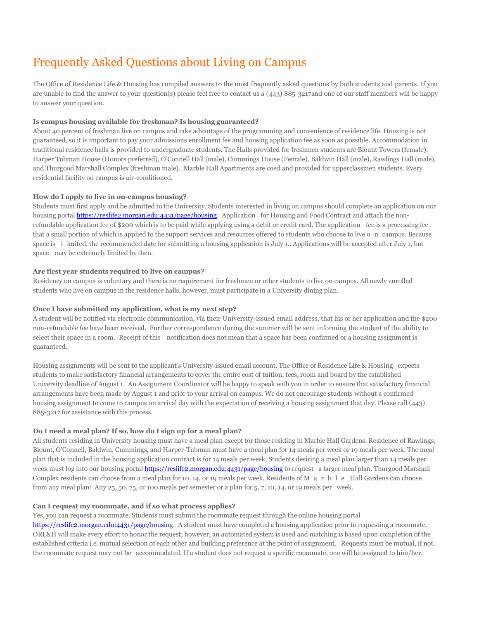# Frequently Asked Questions about Living on Campus

The Office of Residence Life & Housing has compiled answers to the most frequently asked questions by both students and parents. If you are unable to find the answer to your question(s) please feel free to contact us a (443) 885-3217and one of our staff members will be happy to answer your question.

#### **Is campus housing available for freshman? Is housing guaranteed?**

About 40 percent of freshman live on campus and take advantage of the programming and convenience of residence life. Housing is not guaranteed, so it is important to pay your admissions enrollment fee and housing application fee as soon as possible. Accommodation in traditional residence halls is provided to undergraduate students. The Halls provided for freshmen students are Blount Towers (female), Harper Tubman House (Honors preferred), O'Connell Hall (male), Cummings House (Female), Baldwin Hall (male), Rawlings Hall (male), and Thurgood Marshall Complex (freshman male). Marble Hall Apartments are coed and provided for upperclassmen students. Every residential facility on campus is air-conditioned.

#### **How do I apply to live in on-campus housing?**

Students must first apply and be admitted to the University. Students interested in living on campus should complete an application on our housing portal [https://reslife2.morgan.edu:4431/page/housing.](https://reslife2.morgan.edu:4431/page/housing) Application for Housing and Food Contract and attach the nonrefundable application fee of \$200 which is to be paid while applying using a debit or credit card. The application fee is a processing fee that a small portion of which is applied to the support services and resources offered to students who choose to live o n campus. Because space is l imited, the recommended date for submitting a housing application is July 1.. Applications will be accepted after July 1, but space may be extremely limited by then.

#### **Are first year students required to live on campus?**

Residency on campus is voluntary and there is no requirement for freshmen or other students to live on campus. All newly enrolled students who live on campus in the residence halls, however, must participate in a University dining plan.

## **Once I have submitted my application, what is my next step?**

A student will be notified via electronic communication, via their University-issued email address, that his or her application and the \$200 non-refundable fee have been received. Further correspondence during the summer will be sent informing the student of the ability to select their space in a room. Receipt of this notification does not mean that a space has been confirmed or a housing assignment is guaranteed.

Housing assignments will be sent to the applicant's University-issued email account. The Office of Residence Life & Housing expects students to make satisfactory financial arrangements to cover the entire cost of tuition, fees, room and board by the established University deadline of August 1. An Assignment Coordinator will be happy to speak with you in order to ensure that satisfactory financial arrangements have been made by August 1 and prior to your arrival on campus. We do not encourage students without a confirmed housing assignment to come to campus on arrival day with the expectation of receiving a housing assignment that day. Please call (443) 885-3217 for assistance with this process.

#### **Do I need a meal plan? If so, how do I sign up for a meal plan?**

All students residing in University housing must have a meal plan except for those residing in Marble Hall Gardens. Residence of Rawlings, Blount, O'Connell, Baldwin, Cummings, and Harper-Tubman must have a meal plan for 14 meals per week or 19 meals per week. The meal plan that is included in the housing application contract is for 14 meals per week. Students desiring a meal plan larger than 14 meals per week must log into our housing portal <https://reslife2.morgan.edu:4431/page/housing> to request a larger meal plan. Thurgood Marshall Complex residents can choose from a meal plan for 10, 14, or 19 meals per week. Residents of M a r b l e Hall Gardens can choose from any meal plan: Any 25, 50, 75, or 100 meals per semester or a plan for 5, 7, 10, 14, or 19 meals per week.

#### **Can I request my roommate, and if so what process applies?**

Yes, you can request a roommate. Students must submit the roommate request through the online housing portal

[https://reslife2.morgan.edu:4431/page/housing](https://reslife2.morgan.edu:4431/page/housin). A student must have completed a housing application prior to requesting a roommate. ORL&H will make every effort to honor the request; however, an automated system is used and matching is based upon completion of the established criteria i.e. mutual selection of each other and building preference at the point of assignment. Requests must be mutual, if not, the roommate request may not be accommodated. If a student does not request a specific roommate, one will be assigned to him/her.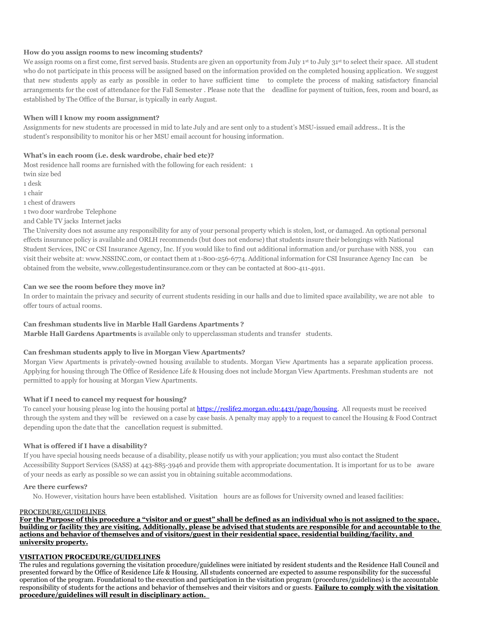#### **How do you assign rooms to new incoming students?**

We assign rooms on a first come, first served basis. Students are given an opportunity from July 1<sup>st</sup> to July 31<sup>st</sup> to select their space. All student who do not participate in this process will be assigned based on the information provided on the completed housing application. We suggest that new students apply as early as possible in order to have sufficient time to complete the process of making satisfactory financial arrangements for the cost of attendance for the Fall Semester . Please note that the deadline for payment of tuition, fees, room and board, as established by The Office of the Bursar, is typically in early August.

#### **When will I know my room assignment?**

Assignments for new students are processed in mid to late July and are sent only to a student's MSU-issued email address.. It is the student's responsibility to monitor his or her MSU email account for housing information.

## **What's in each room (i.e. desk wardrobe, chair bed etc)?**

Most residence hall rooms are furnished with the following for each resident: 1

twin size bed

1 desk

- 1 chair
- 1 chest of drawers
- 1 two door wardrobe Telephone
- and Cable TV jacks Internet jacks

The University does not assume any responsibility for any of your personal property which is stolen, lost, or damaged. An optional personal effects insurance policy is available and ORLH recommends (but does not endorse) that students insure their belongings with National Student Services, INC or CSI Insurance Agency, Inc. If you would like to find out additional information and/or purchase with NSS, you can visit their website at: [www.NSSINC.com,](http://www.nssinc.com/) or contact them at 1-800-256-6774. Additional information for CSI Insurance Agency Inc can be obtained from the website[, www.collegestudentinsurance.com](http://www.collegestudentinsurance.com/) or they can be contacted at 800-411-4911.

## **Can we see the room before they move in?**

In order to maintain the privacy and security of current students residing in our halls and due to limited space availability, we are not able to offer tours of actual rooms.

#### **Can freshman students live in Marble Hall Gardens Apartments ?**

**Marble Hall Gardens Apartments** is available only to upperclassman students and transfer students.

# **Can freshman students apply to live in Morgan View Apartments?**

Morgan View Apartments is privately-owned housing available to students. Morgan View Apartments has a separate application process. Applying for housing through The Office of Residence Life & Housing does not include Morgan View Apartments. Freshman students are not permitted to apply for housing at Morgan View Apartments.

# **What if I need to cancel my request for housing?**

To cancel your housing please log into the housing portal a[t https://reslife2.morgan.edu:4431/page/housing.](https://reslife2.morgan.edu:4431/page/housing) All requests must be received through the system and they will be reviewed on a case by case basis. A penalty may apply to a request to cancel the Housing & Food Contract depending upon the date that the cancellation request is submitted.

#### **What is offered if I have a disability?**

If you have special housing needs because of a disability, please notify us with your application; you must also contact the Student Accessibility Support Services (SASS) at 443-885-3946 and provide them with appropriate documentation. It is important for us to be aware of your needs as early as possible so we can assist you in obtaining suitable accommodations.

#### **Are there curfews?**

No. However, visitation hours have been established. Visitation hours are as follows for University owned and leased facilities:

#### PROCEDURE/GUIDELINES

**For the Purpose of this procedure a "visitor and or guest" shall be defined as an individual who is not assigned to the space, building or facility they are visiting. Additionally, please be advised that students are responsible for and accountable to the actions and behavior of themselves and of visitors/guest in their residential space, residential building/facility, and university property.**

## **VISITATION PROCEDURE/GUIDELINES**

The rules and regulations governing the visitation procedure/guidelines were initiated by resident students and the Residence Hall Council and presented forward by the Office of Residence Life & Housing. All students concerned are expected to assume responsibility for the successful operation of the program. Foundational to the execution and participation in the visitation program (procedures/guidelines) is the accountable responsibility of students for the actions and behavior of themselves and their visitors and or guests. **Failure to comply with the visitation procedure/guidelines will result in disciplinary action.**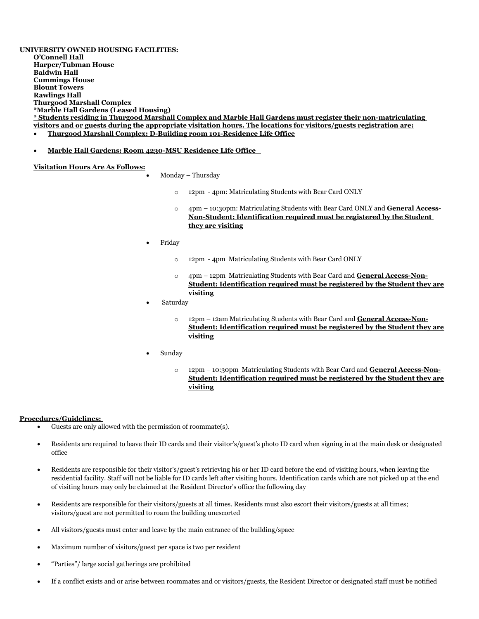**UNIVERSITY OWNED HOUSING FACILITIES: O'Connell Hall Harper/Tubman House Baldwin Hall Cummings House Blount Towers Rawlings Hall Thurgood Marshall Complex \*Marble Hall Gardens (Leased Housing) \* Students residing in Thurgood Marshall Complex and Marble Hall Gardens must register their non-matriculating visitors and or guests during the appropriate visitation hours. The locations for visitors/guests registration are:**

- **Thurgood Marshall Complex: D-Building room 101-Residence Life Office**
- **Marble Hall Gardens: Room 4230-MSU Residence Life Office**

#### **Visitation Hours Are As Follows:**

Monday – Thursday

- o 12pm 4pm: Matriculating Students with Bear Card ONLY
- o 4pm 10:30pm: Matriculating Students with Bear Card ONLY and **General Access-Non-Student: Identification required must be registered by the Student they are visiting**
- Friday
	- o 12pm 4pm Matriculating Students with Bear Card ONLY
	- o 4pm 12pm Matriculating Students with Bear Card and **General Access-Non-Student: Identification required must be registered by the Student they are visiting**
- Saturday
	- o 12pm 12am Matriculating Students with Bear Card and **General Access-Non-Student: Identification required must be registered by the Student they are visiting**
- Sunday
	- o 12pm 10:30pm Matriculating Students with Bear Card and **General Access-Non-Student: Identification required must be registered by the Student they are visiting**

#### **Procedures/Guidelines:**

- Guests are only allowed with the permission of roommate(s).
- Residents are required to leave their ID cards and their visitor's/guest's photo ID card when signing in at the main desk or designated office
- Residents are responsible for their visitor's/guest's retrieving his or her ID card before the end of visiting hours, when leaving the residential facility. Staff will not be liable for ID cards left after visiting hours. Identification cards which are not picked up at the end of visiting hours may only be claimed at the Resident Director's office the following day
- Residents are responsible for their visitors/guests at all times. Residents must also escort their visitors/guests at all times; visitors/guest are not permitted to roam the building unescorted
- All visitors/guests must enter and leave by the main entrance of the building/space
- Maximum number of visitors/guest per space is two per resident
- "Parties"/ large social gatherings are prohibited
- If a conflict exists and or arise between roommates and or visitors/guests, the Resident Director or designated staff must be notified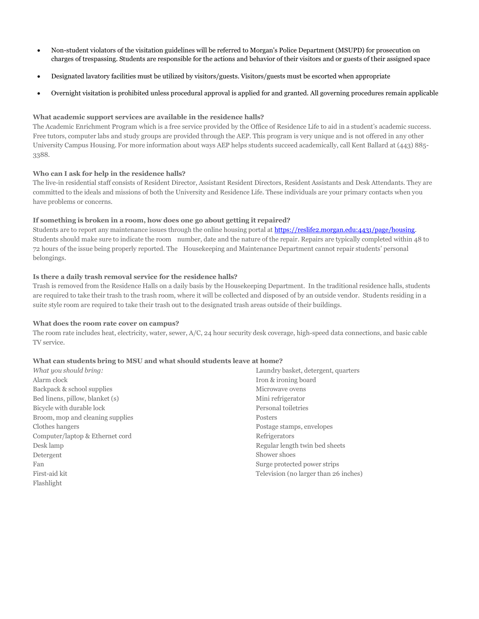- Non-student violators of the visitation guidelines will be referred to Morgan's Police Department (MSUPD) for prosecution on charges of trespassing. Students are responsible for the actions and behavior of their visitors and or guests of their assigned space
- Designated lavatory facilities must be utilized by visitors/guests. Visitors/guests must be escorted when appropriate
- Overnight visitation is prohibited unless procedural approval is applied for and granted. All governing procedures remain applicable

## **What academic support services are available in the residence halls?**

The Academic Enrichment Program which is a free service provided by the Office of Residence Life to aid in a student's academic success. Free tutors, computer labs and study groups are provided through the AEP. This program is very unique and is not offered in any other University Campus Housing. For more information about ways AEP helps students succeed academically, call Kent Ballard at (443) 885- 3388.

## **Who can I ask for help in the residence halls?**

The live-in residential staff consists of Resident Director, Assistant Resident Directors, Resident Assistants and Desk Attendants. They are committed to the ideals and missions of both the University and Residence Life. These individuals are your primary contacts when you have problems or concerns.

## **If something is broken in a room, how does one go about getting it repaired?**

Students are to report any maintenance issues through the online housing portal at [https://reslife2.morgan.edu:4431/page/housing.](https://reslife2.morgan.edu:4431/page/housing) Students should make sure to indicate the room number, date and the nature of the repair. Repairs are typically completed within 48 to 72 hours of the issue being properly reported. The Housekeeping and Maintenance Department cannot repair students' personal belongings.

## **Is there a daily trash removal service for the residence halls?**

Trash is removed from the Residence Halls on a daily basis by the Housekeeping Department. In the traditional residence halls, students are required to take their trash to the trash room, where it will be collected and disposed of by an outside vendor. Students residing in a suite style room are required to take their trash out to the designated trash areas outside of their buildings.

#### **What does the room rate cover on campus?**

The room rate includes heat, electricity, water, sewer, A/C, 24 hour security desk coverage, high-speed data connections, and basic cable TV service.

#### **What can students bring to MSU and what should students leave at home?**

*What you should bring:* Alarm clock Backpack & school supplies Bed linens, pillow, blanket (s) Bicycle with durable lock Broom, mop and cleaning supplies Clothes hangers Computer/laptop & Ethernet cord Desk lamp Detergent Fan First-aid kit Flashlight

Laundry basket, detergent, quarters Iron & ironing board Microwave ovens Mini refrigerator Personal toiletries Posters Postage stamps, envelopes Refrigerators Regular length twin bed sheets Shower shoes Surge protected power strips Television (no larger than 26 inches)